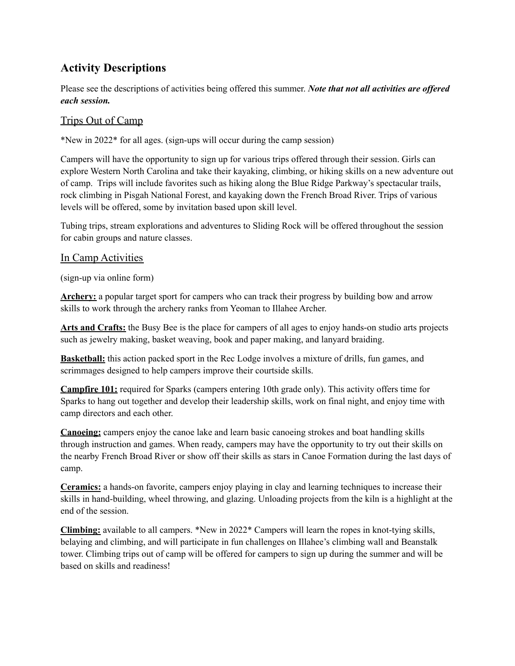## **Activity Descriptions**

Please see the descriptions of activities being offered this summer. *Note that not all activities are of ered each session.*

## Trips Out of Camp

\*New in 2022\* for all ages. (sign-ups will occur during the camp session)

Campers will have the opportunity to sign up for various trips offered through their session. Girls can explore Western North Carolina and take their kayaking, climbing, or hiking skills on a new adventure out of camp. Trips will include favorites such as hiking along the Blue Ridge Parkway's spectacular trails, rock climbing in Pisgah National Forest, and kayaking down the French Broad River. Trips of various levels will be offered, some by invitation based upon skill level.

Tubing trips, stream explorations and adventures to Sliding Rock will be offered throughout the session for cabin groups and nature classes.

## In Camp Activities

(sign-up via online form)

**Archery:** a popular target sport for campers who can track their progress by building bow and arrow skills to work through the archery ranks from Yeoman to Illahee Archer.

**Arts and Crafts:** the Busy Bee is the place for campers of all ages to enjoy hands-on studio arts projects such as jewelry making, basket weaving, book and paper making, and lanyard braiding.

**Basketball:** this action packed sport in the Rec Lodge involves a mixture of drills, fun games, and scrimmages designed to help campers improve their courtside skills.

**Campfire 101:** required for Sparks (campers entering 10th grade only). This activity offers time for Sparks to hang out together and develop their leadership skills, work on final night, and enjoy time with camp directors and each other.

**Canoeing:** campers enjoy the canoe lake and learn basic canoeing strokes and boat handling skills through instruction and games. When ready, campers may have the opportunity to try out their skills on the nearby French Broad River or show off their skills as stars in Canoe Formation during the last days of camp.

**Ceramics:** a hands-on favorite, campers enjoy playing in clay and learning techniques to increase their skills in hand-building, wheel throwing, and glazing. Unloading projects from the kiln is a highlight at the end of the session.

**Climbing:** available to all campers. \*New in 2022\* Campers will learn the ropes in knot-tying skills, belaying and climbing, and will participate in fun challenges on Illahee's climbing wall and Beanstalk tower. Climbing trips out of camp will be offered for campers to sign up during the summer and will be based on skills and readiness!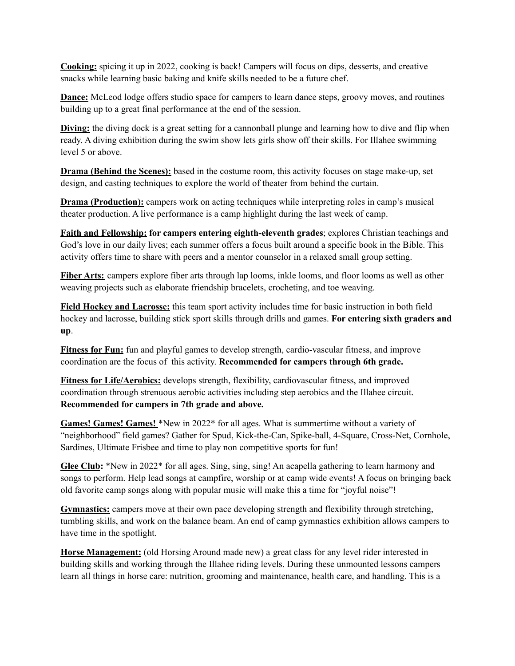**Cooking:** spicing it up in 2022, cooking is back! Campers will focus on dips, desserts, and creative snacks while learning basic baking and knife skills needed to be a future chef.

**Dance:** McLeod lodge offers studio space for campers to learn dance steps, groovy moves, and routines building up to a great final performance at the end of the session.

**Diving:** the diving dock is a great setting for a cannonball plunge and learning how to dive and flip when ready. A diving exhibition during the swim show lets girls show off their skills. For Illahee swimming level 5 or above.

**Drama (Behind the Scenes):** based in the costume room, this activity focuses on stage make-up, set design, and casting techniques to explore the world of theater from behind the curtain.

**Drama** (**Production**): campers work on acting techniques while interpreting roles in camp's musical theater production. A live performance is a camp highlight during the last week of camp.

**Faith and Fellowship: for campers entering eighth-eleventh grades**; explores Christian teachings and God's love in our daily lives; each summer offers a focus built around a specific book in the Bible. This activity offers time to share with peers and a mentor counselor in a relaxed small group setting.

**Fiber Arts:** campers explore fiber arts through lap looms, inkle looms, and floor looms as well as other weaving projects such as elaborate friendship bracelets, crocheting, and toe weaving.

**Field Hockey and Lacrosse:** this team sport activity includes time for basic instruction in both field hockey and lacrosse, building stick sport skills through drills and games. **For entering sixth graders and up**.

**Fitness for Fun:** fun and playful games to develop strength, cardio-vascular fitness, and improve coordination are the focus of this activity. **Recommended for campers through 6th grade.**

**Fitness for Life/Aerobics:** develops strength, flexibility, cardiovascular fitness, and improved coordination through strenuous aerobic activities including step aerobics and the Illahee circuit. **Recommended for campers in 7th grade and above.**

**Games! Games! Games!** \*New in 2022\* for all ages. What is summertime without a variety of "neighborhood" field games? Gather for Spud, Kick-the-Can, Spike-ball, 4-Square, Cross-Net, Cornhole, Sardines, Ultimate Frisbee and time to play non competitive sports for fun!

**Glee Club:** \*New in 2022\* for all ages. Sing, sing, sing! An acapella gathering to learn harmony and songs to perform. Help lead songs at campfire, worship or at camp wide events! A focus on bringing back old favorite camp songs along with popular music will make this a time for "joyful noise"!

**Gymnastics:** campers move at their own pace developing strength and flexibility through stretching, tumbling skills, and work on the balance beam. An end of camp gymnastics exhibition allows campers to have time in the spotlight.

**Horse Management:** (old Horsing Around made new) a great class for any level rider interested in building skills and working through the Illahee riding levels. During these unmounted lessons campers learn all things in horse care: nutrition, grooming and maintenance, health care, and handling. This is a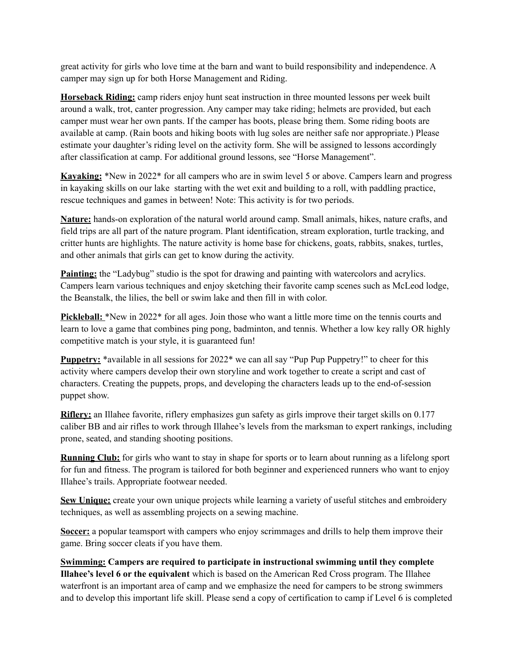great activity for girls who love time at the barn and want to build responsibility and independence. A camper may sign up for both Horse Management and Riding.

**Horseback Riding:** camp riders enjoy hunt seat instruction in three mounted lessons per week built around a walk, trot, canter progression. Any camper may take riding; helmets are provided, but each camper must wear her own pants. If the camper has boots, please bring them. Some riding boots are available at camp. (Rain boots and hiking boots with lug soles are neither safe nor appropriate.) Please estimate your daughter's riding level on the activity form. She will be assigned to lessons accordingly after classification at camp. For additional ground lessons, see "Horse Management".

**Kayaking:** \*New in 2022\* for all campers who are in swim level 5 or above. Campers learn and progress in kayaking skills on our lake starting with the wet exit and building to a roll, with paddling practice, rescue techniques and games in between! Note: This activity is for two periods.

**Nature:** hands-on exploration of the natural world around camp. Small animals, hikes, nature crafts, and field trips are all part of the nature program. Plant identification, stream exploration, turtle tracking, and critter hunts are highlights. The nature activity is home base for chickens, goats, rabbits, snakes, turtles, and other animals that girls can get to know during the activity.

**Painting:** the "Ladybug" studio is the spot for drawing and painting with watercolors and acrylics. Campers learn various techniques and enjoy sketching their favorite camp scenes such as McLeod lodge, the Beanstalk, the lilies, the bell or swim lake and then fill in with color.

**Pickleball:** \*New in 2022\* for all ages. Join those who want a little more time on the tennis courts and learn to love a game that combines ping pong, badminton, and tennis. Whether a low key rally OR highly competitive match is your style, it is guaranteed fun!

**Puppetry:** \*available in all sessions for 2022\* we can all say "Pup Pup Puppetry!" to cheer for this activity where campers develop their own storyline and work together to create a script and cast of characters. Creating the puppets, props, and developing the characters leads up to the end-of-session puppet show.

**Riflery:** an Illahee favorite, riflery emphasizes gun safety as girls improve their target skills on 0.177 caliber BB and air rifles to work through Illahee's levels from the marksman to expert rankings, including prone, seated, and standing shooting positions.

**Running Club:** for girls who want to stay in shape for sports or to learn about running as a lifelong sport for fun and fitness. The program is tailored for both beginner and experienced runners who want to enjoy Illahee's trails. Appropriate footwear needed.

**Sew Unique:** create your own unique projects while learning a variety of useful stitches and embroidery techniques, as well as assembling projects on a sewing machine.

**Soccer:** a popular teamsport with campers who enjoy scrimmages and drills to help them improve their game. Bring soccer cleats if you have them.

**Swimming: Campers are required to participate in instructional swimming until they complete Illahee's level 6 or the equivalent** which is based on the American Red Cross program. The Illahee waterfront is an important area of camp and we emphasize the need for campers to be strong swimmers and to develop this important life skill. Please send a copy of certification to camp if Level 6 is completed